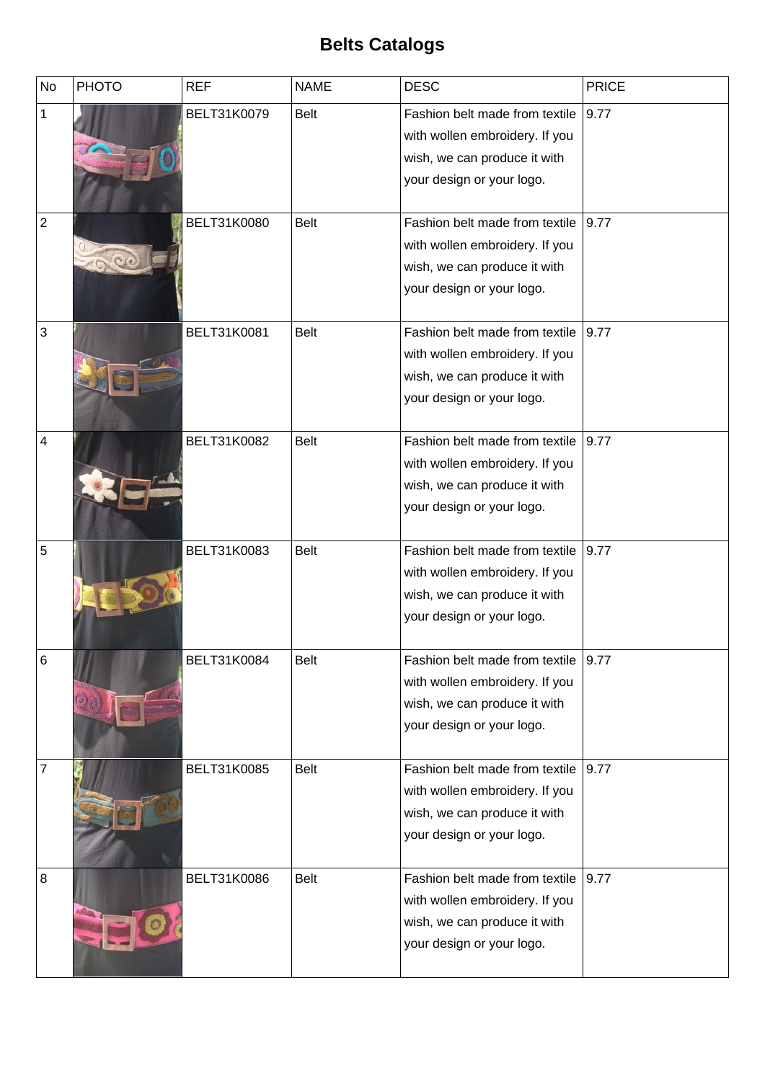## **Belts Catalogs**

| <b>No</b>      | <b>PHOTO</b> | <b>REF</b>  | <b>NAME</b> | <b>DESC</b>                    | <b>PRICE</b> |
|----------------|--------------|-------------|-------------|--------------------------------|--------------|
| 1              |              | BELT31K0079 | <b>Belt</b> | Fashion belt made from textile | 9.77         |
|                |              |             |             | with wollen embroidery. If you |              |
|                |              |             |             | wish, we can produce it with   |              |
|                |              |             |             | your design or your logo.      |              |
|                |              |             |             |                                |              |
| $\overline{2}$ |              | BELT31K0080 | <b>Belt</b> | Fashion belt made from textile | 9.77         |
|                |              |             |             | with wollen embroidery. If you |              |
|                |              |             |             | wish, we can produce it with   |              |
|                |              |             |             | your design or your logo.      |              |
|                |              |             |             |                                |              |
| 3              |              | BELT31K0081 | <b>Belt</b> | Fashion belt made from textile | 9.77         |
|                |              |             |             | with wollen embroidery. If you |              |
|                |              |             |             | wish, we can produce it with   |              |
|                |              |             |             | your design or your logo.      |              |
|                |              |             |             |                                |              |
| $\overline{4}$ |              | BELT31K0082 | <b>Belt</b> | Fashion belt made from textile | 9.77         |
|                |              |             |             | with wollen embroidery. If you |              |
|                |              |             |             | wish, we can produce it with   |              |
|                |              |             |             | your design or your logo.      |              |
|                |              |             |             |                                |              |
| 5              |              | BELT31K0083 | <b>Belt</b> | Fashion belt made from textile | 9.77         |
|                |              |             |             | with wollen embroidery. If you |              |
|                |              |             |             | wish, we can produce it with   |              |
|                |              |             |             | your design or your logo.      |              |
|                |              |             |             |                                |              |
| $\,6$          |              | BELT31K0084 | <b>Belt</b> | Fashion belt made from textile | 9.77         |
|                |              |             |             | with wollen embroidery. If you |              |
|                |              |             |             | wish, we can produce it with   |              |
|                |              |             |             | your design or your logo.      |              |
|                |              |             |             |                                |              |
| 7              |              | BELT31K0085 | <b>Belt</b> | Fashion belt made from textile | 9.77         |
|                |              |             |             | with wollen embroidery. If you |              |
|                |              |             |             | wish, we can produce it with   |              |
|                |              |             |             | your design or your logo.      |              |
|                |              |             |             |                                |              |
| $\overline{8}$ |              | BELT31K0086 | <b>Belt</b> | Fashion belt made from textile | 9.77         |
|                |              |             |             | with wollen embroidery. If you |              |
|                |              |             |             | wish, we can produce it with   |              |
|                |              |             |             | your design or your logo.      |              |
|                |              |             |             |                                |              |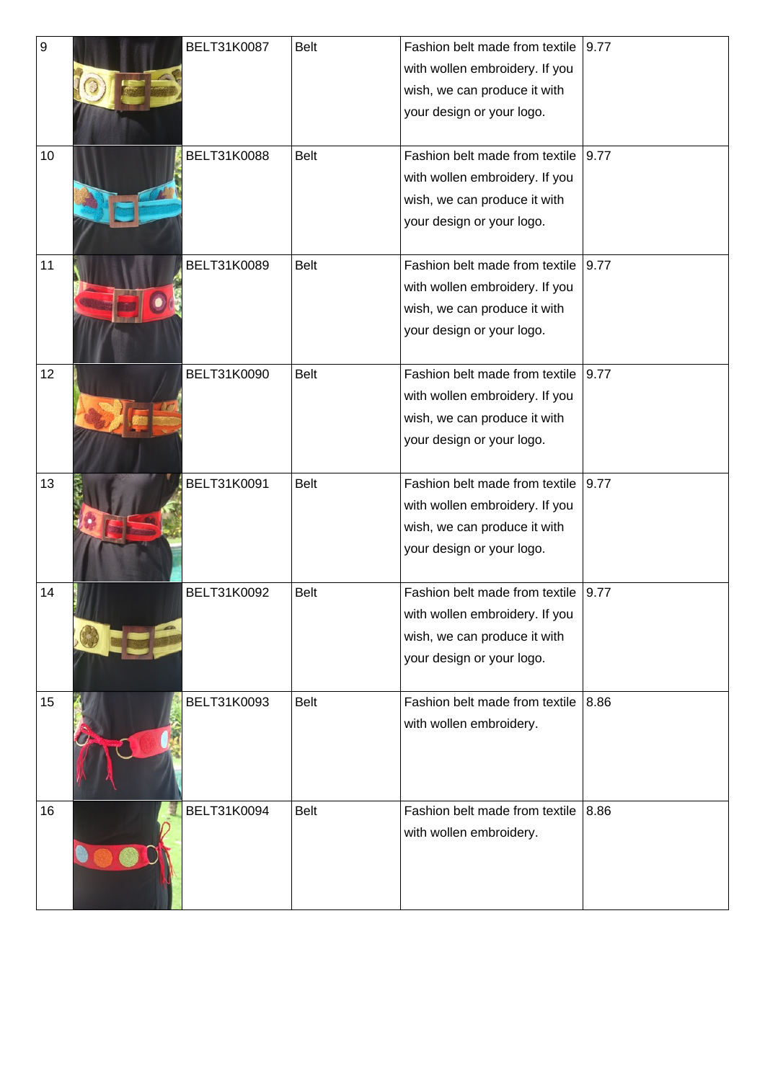| 9  | BELT31K0087 | Belt        | Fashion belt made from textile | 9.77 |
|----|-------------|-------------|--------------------------------|------|
|    |             |             | with wollen embroidery. If you |      |
|    |             |             | wish, we can produce it with   |      |
|    |             |             | your design or your logo.      |      |
|    |             |             |                                |      |
| 10 | BELT31K0088 | <b>Belt</b> | Fashion belt made from textile | 9.77 |
|    |             |             | with wollen embroidery. If you |      |
|    |             |             | wish, we can produce it with   |      |
|    |             |             | your design or your logo.      |      |
|    |             |             |                                |      |
| 11 | BELT31K0089 | <b>Belt</b> | Fashion belt made from textile | 9.77 |
|    |             |             | with wollen embroidery. If you |      |
|    |             |             | wish, we can produce it with   |      |
|    |             |             | your design or your logo.      |      |
|    |             |             |                                |      |
| 12 | BELT31K0090 | <b>Belt</b> | Fashion belt made from textile | 9.77 |
|    |             |             | with wollen embroidery. If you |      |
|    |             |             | wish, we can produce it with   |      |
|    |             |             | your design or your logo.      |      |
|    |             |             |                                |      |
| 13 | BELT31K0091 | <b>Belt</b> | Fashion belt made from textile | 9.77 |
|    |             |             | with wollen embroidery. If you |      |
|    |             |             | wish, we can produce it with   |      |
|    |             |             | your design or your logo.      |      |
|    |             |             |                                |      |
| 14 | BELT31K0092 | <b>Belt</b> | Fashion belt made from textile | 9.77 |
|    |             |             | with wollen embroidery. If you |      |
|    |             |             | wish, we can produce it with   |      |
|    |             |             | your design or your logo.      |      |
| 15 | BELT31K0093 | <b>Belt</b> | Fashion belt made from textile | 8.86 |
|    |             |             |                                |      |
|    |             |             | with wollen embroidery.        |      |
|    |             |             |                                |      |
|    |             |             |                                |      |
| 16 | BELT31K0094 | <b>Belt</b> | Fashion belt made from textile | 8.86 |
|    |             |             | with wollen embroidery.        |      |
|    |             |             |                                |      |
|    |             |             |                                |      |
|    |             |             |                                |      |
|    |             |             |                                |      |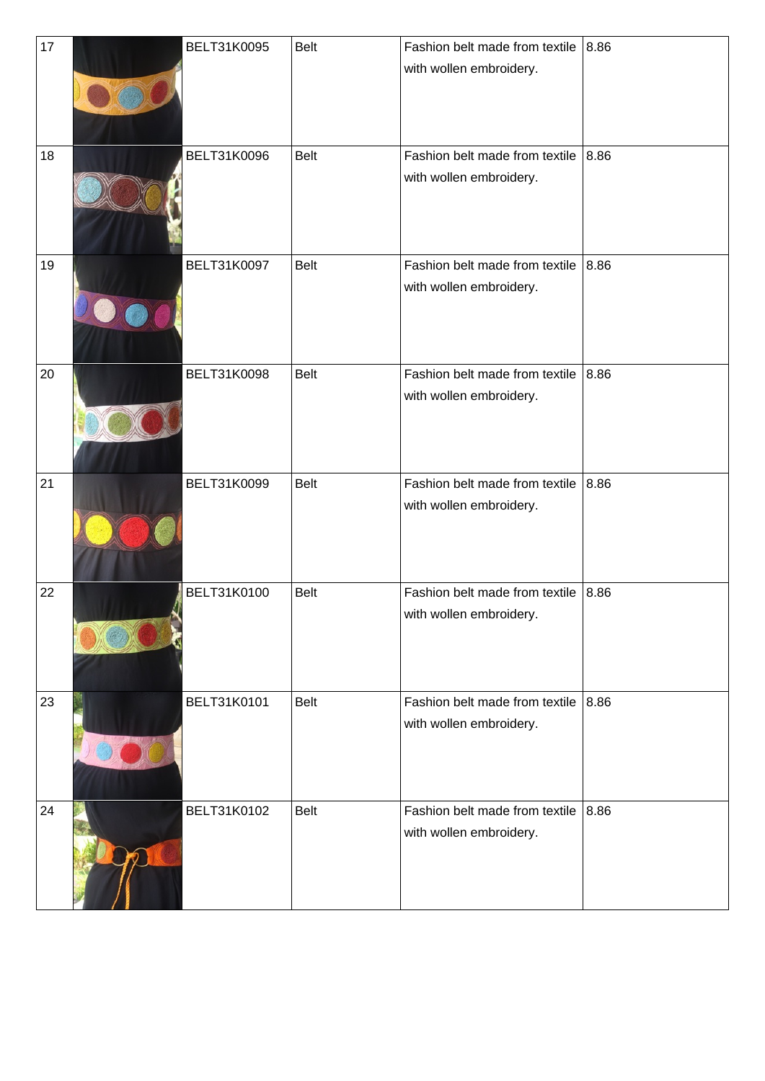| 17 | BELT31K0095        | <b>Belt</b> | Fashion belt made from textile<br>with wollen embroidery. | 8.86 |
|----|--------------------|-------------|-----------------------------------------------------------|------|
| 18 | BELT31K0096        | <b>Belt</b> | Fashion belt made from textile<br>with wollen embroidery. | 8.86 |
| 19 | BELT31K0097        | Belt        | Fashion belt made from textile<br>with wollen embroidery. | 8.86 |
| 20 | BELT31K0098        | <b>Belt</b> | Fashion belt made from textile<br>with wollen embroidery. | 8.86 |
| 21 | BELT31K0099        | <b>Belt</b> | Fashion belt made from textile<br>with wollen embroidery. | 8.86 |
| 22 | BELT31K0100        | <b>Belt</b> | Fashion belt made from textile<br>with wollen embroidery. | 8.86 |
| 23 | <b>BELT31K0101</b> | Belt        | Fashion belt made from textile<br>with wollen embroidery. | 8.86 |
| 24 | BELT31K0102        | <b>Belt</b> | Fashion belt made from textile<br>with wollen embroidery. | 8.86 |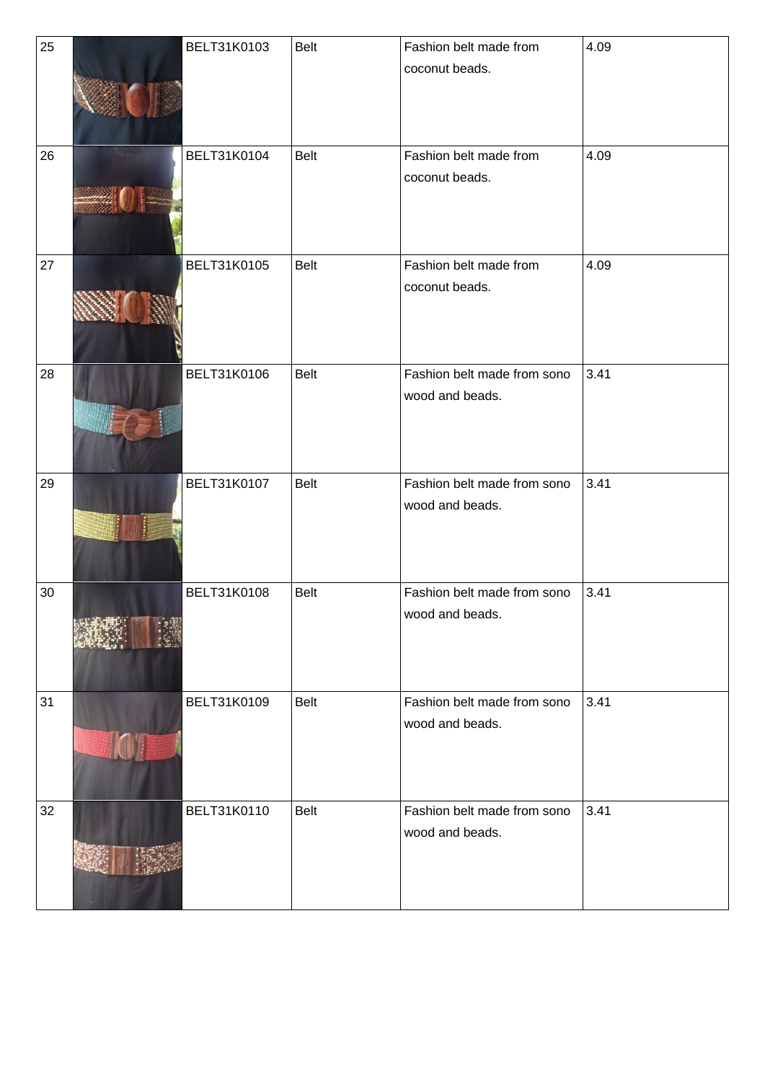| 25 | BELT31K0103 | Belt        | Fashion belt made from                         | 4.09 |
|----|-------------|-------------|------------------------------------------------|------|
|    |             |             | coconut beads.                                 |      |
| 26 | BELT31K0104 | <b>Belt</b> | Fashion belt made from<br>coconut beads.       | 4.09 |
| 27 | BELT31K0105 | Belt        | Fashion belt made from<br>coconut beads.       | 4.09 |
| 28 | BELT31K0106 | <b>Belt</b> | Fashion belt made from sono<br>wood and beads. | 3.41 |
| 29 | BELT31K0107 | Belt        | Fashion belt made from sono<br>wood and beads. | 3.41 |
| 30 | BELT31K0108 | <b>Belt</b> | Fashion belt made from sono<br>wood and beads. | 3.41 |
| 31 | BELT31K0109 | <b>Belt</b> | Fashion belt made from sono<br>wood and beads. | 3.41 |
| 32 | BELT31K0110 | <b>Belt</b> | Fashion belt made from sono<br>wood and beads. | 3.41 |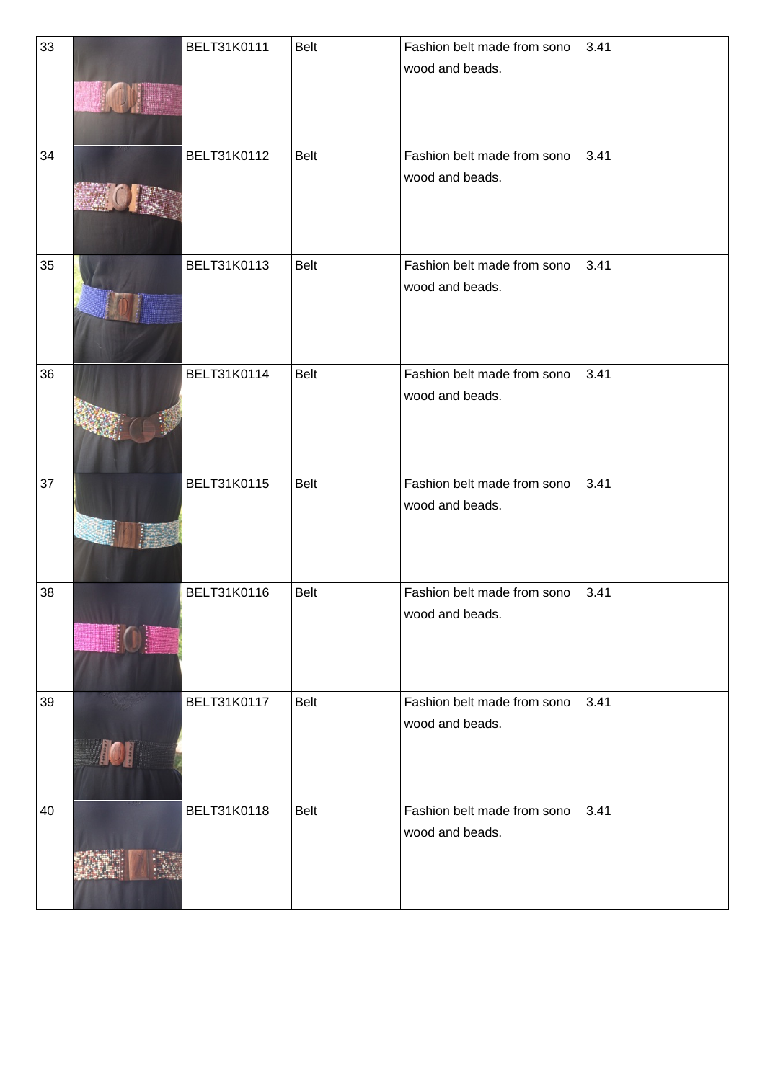| 33 |            | <b>BELT31K0111</b> | <b>Belt</b> | Fashion belt made from sono | 3.41 |
|----|------------|--------------------|-------------|-----------------------------|------|
|    |            |                    |             | wood and beads.             |      |
|    |            |                    |             |                             |      |
|    |            |                    |             |                             |      |
| 34 |            | BELT31K0112        | <b>Belt</b> | Fashion belt made from sono | 3.41 |
|    |            |                    |             | wood and beads.             |      |
|    |            |                    |             |                             |      |
|    |            |                    |             |                             |      |
|    |            |                    |             |                             |      |
| 35 |            | BELT31K0113        | Belt        | Fashion belt made from sono | 3.41 |
|    |            |                    |             | wood and beads.             |      |
|    |            |                    |             |                             |      |
|    |            |                    |             |                             |      |
|    |            |                    |             |                             |      |
| 36 |            | BELT31K0114        | Belt        | Fashion belt made from sono | 3.41 |
|    |            |                    |             | wood and beads.             |      |
|    |            |                    |             |                             |      |
|    |            |                    |             |                             |      |
| 37 |            | BELT31K0115        | Belt        | Fashion belt made from sono | 3.41 |
|    |            |                    |             | wood and beads.             |      |
|    |            |                    |             |                             |      |
|    |            |                    |             |                             |      |
|    |            |                    |             |                             |      |
| 38 |            | BELT31K0116        | <b>Belt</b> | Fashion belt made from sono | 3.41 |
|    |            |                    |             | wood and beads.             |      |
|    |            |                    |             |                             |      |
|    |            |                    |             |                             |      |
| 39 |            | BELT31K0117        | <b>Belt</b> | Fashion belt made from sono | 3.41 |
|    |            |                    |             | wood and beads.             |      |
|    |            |                    |             |                             |      |
|    | <b>ID!</b> |                    |             |                             |      |
|    |            |                    |             |                             |      |
| 40 |            | BELT31K0118        | Belt        | Fashion belt made from sono | 3.41 |
|    |            |                    |             | wood and beads.             |      |
|    |            |                    |             |                             |      |
|    |            |                    |             |                             |      |
|    |            |                    |             |                             |      |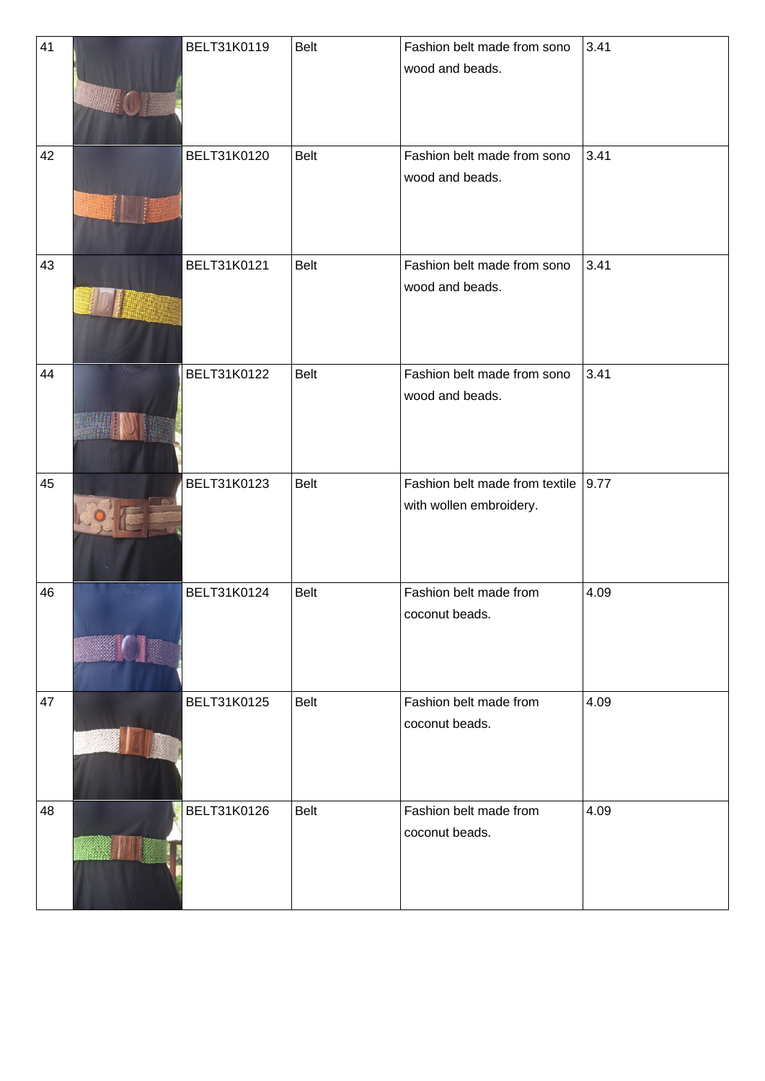| 41 | BELT31K0119 | <b>Belt</b> | Fashion belt made from sono         | 3.41 |
|----|-------------|-------------|-------------------------------------|------|
|    |             |             | wood and beads.                     |      |
|    |             |             |                                     |      |
|    |             |             |                                     |      |
|    |             |             |                                     |      |
| 42 | BELT31K0120 | <b>Belt</b> | Fashion belt made from sono         | 3.41 |
|    |             |             |                                     |      |
|    |             |             | wood and beads.                     |      |
|    |             |             |                                     |      |
|    |             |             |                                     |      |
|    |             |             |                                     |      |
| 43 | BELT31K0121 | Belt        | Fashion belt made from sono         | 3.41 |
|    |             |             | wood and beads.                     |      |
|    |             |             |                                     |      |
|    |             |             |                                     |      |
|    |             |             |                                     |      |
| 44 | BELT31K0122 | Belt        | Fashion belt made from sono         | 3.41 |
|    |             |             | wood and beads.                     |      |
|    |             |             |                                     |      |
|    |             |             |                                     |      |
|    |             |             |                                     |      |
|    |             |             |                                     |      |
| 45 | BELT31K0123 | <b>Belt</b> | Fashion belt made from textile 9.77 |      |
|    |             |             | with wollen embroidery.             |      |
|    |             |             |                                     |      |
|    |             |             |                                     |      |
|    |             |             |                                     |      |
| 46 | BELT31K0124 | <b>Belt</b> | Fashion belt made from              | 4.09 |
|    |             |             | coconut beads.                      |      |
|    |             |             |                                     |      |
|    |             |             |                                     |      |
|    |             |             |                                     |      |
|    |             |             |                                     |      |
| 47 | BELT31K0125 | <b>Belt</b> | Fashion belt made from              | 4.09 |
|    |             |             | coconut beads.                      |      |
|    |             |             |                                     |      |
|    |             |             |                                     |      |
|    |             |             |                                     |      |
| 48 | BELT31K0126 | <b>Belt</b> | Fashion belt made from              | 4.09 |
|    |             |             | coconut beads.                      |      |
|    |             |             |                                     |      |
|    |             |             |                                     |      |
|    |             |             |                                     |      |
|    |             |             |                                     |      |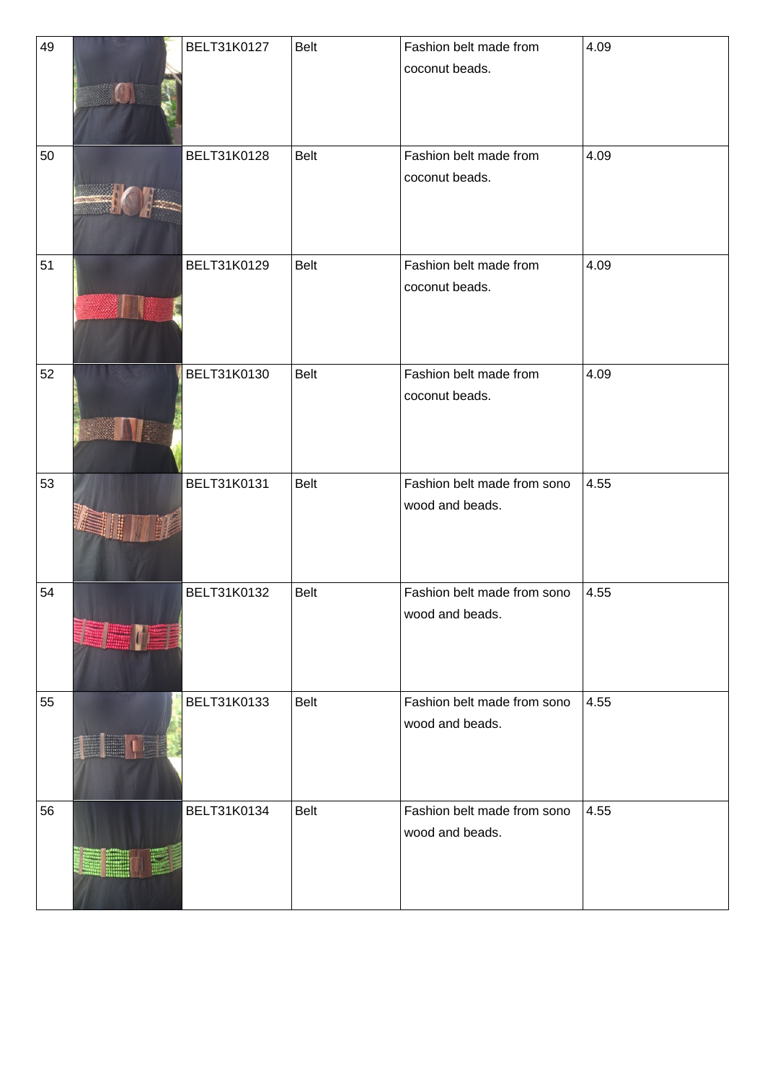| 49 | BELT31K0127 | Belt        | Fashion belt made from      | 4.09 |
|----|-------------|-------------|-----------------------------|------|
|    |             |             | coconut beads.              |      |
| 50 | BELT31K0128 | Belt        | Fashion belt made from      | 4.09 |
|    |             |             | coconut beads.              |      |
| 51 | BELT31K0129 | Belt        | Fashion belt made from      | 4.09 |
|    |             |             | coconut beads.              |      |
| 52 | BELT31K0130 | Belt        | Fashion belt made from      | 4.09 |
|    |             |             | coconut beads.              |      |
| 53 | BELT31K0131 | Belt        | Fashion belt made from sono | 4.55 |
|    |             |             | wood and beads.             |      |
| 54 | BELT31K0132 | Belt        | Fashion belt made from sono | 4.55 |
|    |             |             | wood and beads.             |      |
| 55 | BELT31K0133 | Belt        | Fashion belt made from sono | 4.55 |
|    |             |             | wood and beads.             |      |
| 56 | BELT31K0134 | <b>Belt</b> | Fashion belt made from sono | 4.55 |
|    |             |             | wood and beads.             |      |